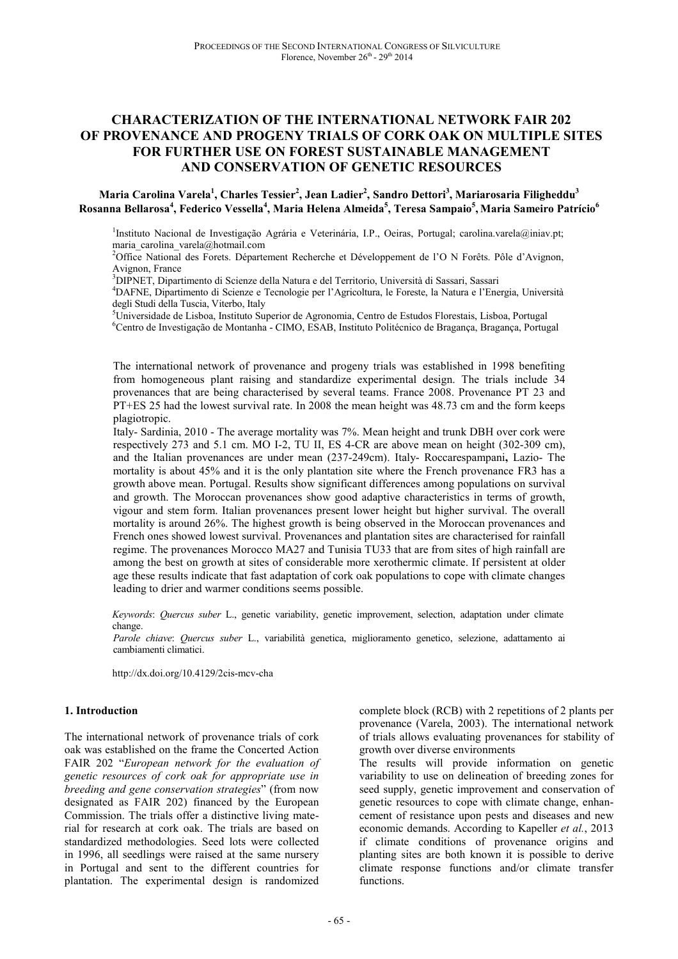# **CHARACTERIZATION OF THE INTERNATIONAL NETWORK FAIR 202 OF PROVENANCE AND PROGENY TRIALS OF CORK OAK ON MULTIPLE SITES FOR FURTHER USE ON FOREST SUSTAINABLE MANAGEMENT AND CONSERVATION OF GENETIC RESOURCES**

### **Maria Carolina Varela<sup>1</sup> , Charles Tessier<sup>2</sup> , Jean Ladier<sup>2</sup> , Sandro Dettori<sup>3</sup> , Mariarosaria Filigheddu<sup>3</sup> Rosanna Bellarosa<sup>4</sup> , Federico Vessella<sup>4</sup> , Maria Helena Almeida<sup>5</sup> , Teresa Sampaio<sup>5</sup> , Maria Sameiro Patrício<sup>6</sup>**

<sup>1</sup>Instituto Nacional de Investigação Agrária e Veterinária, I.P., Oeiras, Portugal; carolina.varela@iniav.pt; maria\_carolina\_varela@hotmail.com

<sup>2</sup>Office National des Forets. Département Recherche et Développement de l'O N Forêts. Pôle d'Avignon, Avignon, France

<sup>3</sup>DIPNET, Dipartimento di Scienze della Natura e del Territorio, Università di Sassari, Sassari

<sup>4</sup>DAFNE, Dipartimento di Scienze e Tecnologie per l'Agricoltura, le Foreste, la Natura e l'Energia, Università degli Studi della Tuscia, Viterbo, Italy

<sup>5</sup>Universidade de Lisboa, Instituto Superior de Agronomia, Centro de Estudos Florestais, Lisboa, Portugal <sup>6</sup>Centro de Investigação de Montanha - CIMO, ESAB, Instituto Politécnico de Bragança, Bragança, Portugal

The international network of provenance and progeny trials was established in 1998 benefiting from homogeneous plant raising and standardize experimental design. The trials include 34 provenances that are being characterised by several teams. France 2008. Provenance PT 23 and PT+ES 25 had the lowest survival rate. In 2008 the mean height was 48.73 cm and the form keeps plagiotropic.

Italy- Sardinia, 2010 - The average mortality was 7%. Mean height and trunk DBH over cork were respectively 273 and 5.1 cm. MO I-2, TU II, ES 4-CR are above mean on height (302-309 cm), and the Italian provenances are under mean (237-249cm). Italy- Roccarespampani**,** Lazio- The mortality is about 45% and it is the only plantation site where the French provenance FR3 has a growth above mean. Portugal. Results show significant differences among populations on survival and growth. The Moroccan provenances show good adaptive characteristics in terms of growth, vigour and stem form. Italian provenances present lower height but higher survival. The overall mortality is around 26%. The highest growth is being observed in the Moroccan provenances and French ones showed lowest survival. Provenances and plantation sites are characterised for rainfall regime. The provenances Morocco MA27 and Tunisia TU33 that are from sites of high rainfall are among the best on growth at sites of considerable more xerothermic climate. If persistent at older age these results indicate that fast adaptation of cork oak populations to cope with climate changes leading to drier and warmer conditions seems possible.

*Keywords*: *Quercus suber* L., genetic variability, genetic improvement, selection, adaptation under climate change.

*Parole chiave*: *Quercus suber* L., variabilità genetica, miglioramento genetico, selezione, adattamento ai cambiamenti climatici.

http://dx.doi.org/10.4129/2cis-mcv-cha

#### **1. Introduction**

The international network of provenance trials of cork oak was established on the frame the Concerted Action FAIR 202 "*European network for the evaluation of genetic resources of cork oak for appropriate use in breeding and gene conservation strategies*" (from now designated as FAIR 202) financed by the European Commission. The trials offer a distinctive living material for research at cork oak. The trials are based on standardized methodologies. Seed lots were collected in 1996, all seedlings were raised at the same nursery in Portugal and sent to the different countries for plantation. The experimental design is randomized

complete block (RCB) with 2 repetitions of 2 plants per provenance (Varela, 2003). The international network of trials allows evaluating provenances for stability of growth over diverse environments

The results will provide information on genetic variability to use on delineation of breeding zones for seed supply, genetic improvement and conservation of genetic resources to cope with climate change, enhancement of resistance upon pests and diseases and new economic demands. According to Kapeller *et al.*, 2013 if climate conditions of provenance origins and planting sites are both known it is possible to derive climate response functions and/or climate transfer functions.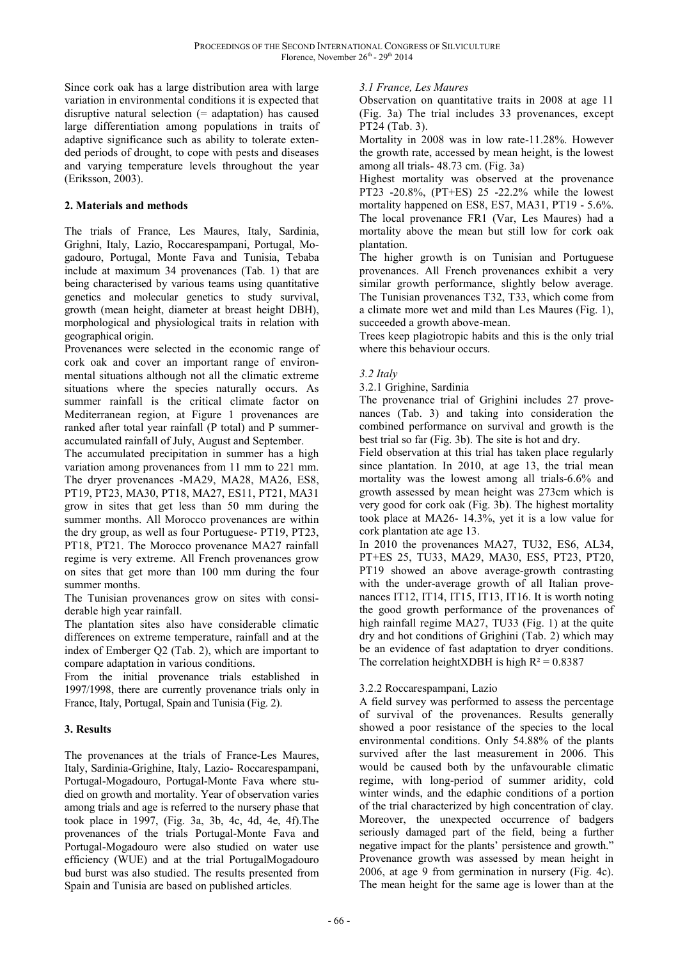Since cork oak has a large distribution area with large variation in environmental conditions it is expected that disruptive natural selection (= adaptation) has caused large differentiation among populations in traits of adaptive significance such as ability to tolerate extended periods of drought, to cope with pests and diseases and varying temperature levels throughout the year (Eriksson, 2003).

# **2. Materials and methods**

The trials of France, Les Maures, Italy, Sardinia, Grighni, Italy, Lazio, Roccarespampani, Portugal, Mogadouro, Portugal, Monte Fava and Tunisia, Tebaba include at maximum 34 provenances (Tab. 1) that are being characterised by various teams using quantitative genetics and molecular genetics to study survival, growth (mean height, diameter at breast height DBH), morphological and physiological traits in relation with geographical origin.

Provenances were selected in the economic range of cork oak and cover an important range of environmental situations although not all the climatic extreme situations where the species naturally occurs. As summer rainfall is the critical climate factor on Mediterranean region, at Figure 1 provenances are ranked after total year rainfall (P total) and P summeraccumulated rainfall of July, August and September.

The accumulated precipitation in summer has a high variation among provenances from 11 mm to 221 mm. The dryer provenances -MA29, MA28, MA26, ES8, PT19, PT23, MA30, PT18, MA27, ES11, PT21, MA31 grow in sites that get less than 50 mm during the summer months. All Morocco provenances are within the dry group, as well as four Portuguese- PT19, PT23, PT18, PT21. The Morocco provenance MA27 rainfall regime is very extreme. All French provenances grow on sites that get more than 100 mm during the four summer months.

The Tunisian provenances grow on sites with considerable high year rainfall.

The plantation sites also have considerable climatic differences on extreme temperature, rainfall and at the index of Emberger Q2 (Tab. 2), which are important to compare adaptation in various conditions.

From the initial provenance trials established in 1997/1998, there are currently provenance trials only in France, Italy, Portugal, Spain and Tunisia (Fig. 2).

# **3. Results**

The provenances at the trials of France-Les Maures, Italy, Sardinia-Grighine, Italy, Lazio- Roccarespampani, Portugal-Mogadouro, Portugal-Monte Fava where studied on growth and mortality. Year of observation varies among trials and age is referred to the nursery phase that took place in 1997, (Fig. 3a, 3b, 4c, 4d, 4e, 4f).The provenances of the trials Portugal-Monte Fava and Portugal-Mogadouro were also studied on water use efficiency (WUE) and at the trial PortugalMogadouro bud burst was also studied. The results presented from Spain and Tunisia are based on published articles.

# *3.1 France, Les Maures*

Observation on quantitative traits in 2008 at age 11 (Fig. 3a) The trial includes 33 provenances, except PT24 (Tab. 3).

Mortality in 2008 was in low rate-11.28%. However the growth rate, accessed by mean height, is the lowest among all trials- 48.73 cm. (Fig. 3a)

Highest mortality was observed at the provenance PT23 -20.8%, (PT+ES) 25 -22.2% while the lowest mortality happened on ES8, ES7, MA31, PT19 - 5.6%. The local provenance FR1 (Var, Les Maures) had a mortality above the mean but still low for cork oak plantation.

The higher growth is on Tunisian and Portuguese provenances. All French provenances exhibit a very similar growth performance, slightly below average. The Tunisian provenances T32, T33, which come from a climate more wet and mild than Les Maures (Fig. 1), succeeded a growth above-mean.

Trees keep plagiotropic habits and this is the only trial where this behaviour occurs.

# *3.2 Italy*

3.2.1 Grighine, Sardinia

The provenance trial of Grighini includes 27 provenances (Tab. 3) and taking into consideration the combined performance on survival and growth is the best trial so far (Fig. 3b). The site is hot and dry.

Field observation at this trial has taken place regularly since plantation. In 2010, at age 13, the trial mean mortality was the lowest among all trials-6.6% and growth assessed by mean height was 273cm which is very good for cork oak (Fig. 3b). The highest mortality took place at MA26- 14.3%, yet it is a low value for cork plantation ate age 13.

In 2010 the provenances MA27, TU32, ES6, AL34, PT+ES 25, TU33, MA29, MA30, ES5, PT23, PT20, PT19 showed an above average-growth contrasting with the under-average growth of all Italian provenances IT12, IT14, IT15, IT13, IT16. It is worth noting the good growth performance of the provenances of high rainfall regime MA27, TU33 (Fig. 1) at the quite dry and hot conditions of Grighini (Tab. 2) which may be an evidence of fast adaptation to dryer conditions. The correlation heightXDBH is high  $R^2 = 0.8387$ 

# 3.2.2 Roccarespampani, Lazio

A field survey was performed to assess the percentage of survival of the provenances. Results generally showed a poor resistance of the species to the local environmental conditions. Only 54.88% of the plants survived after the last measurement in 2006. This would be caused both by the unfavourable climatic regime, with long-period of summer aridity, cold winter winds, and the edaphic conditions of a portion of the trial characterized by high concentration of clay. Moreover, the unexpected occurrence of badgers seriously damaged part of the field, being a further negative impact for the plants' persistence and growth." Provenance growth was assessed by mean height in 2006, at age 9 from germination in nursery (Fig. 4c). The mean height for the same age is lower than at the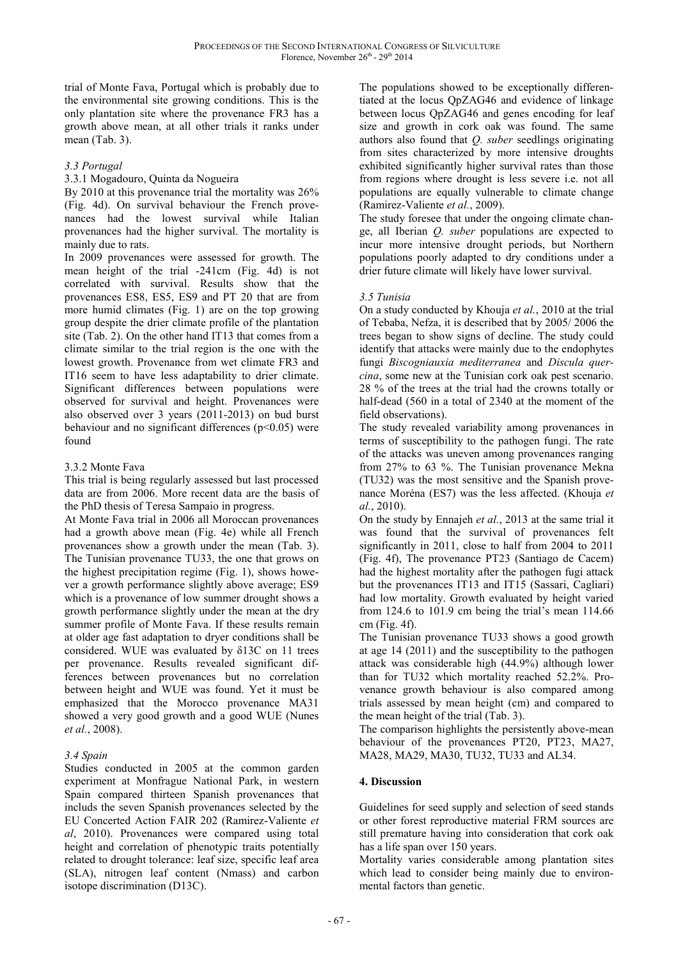trial of Monte Fava, Portugal which is probably due to the environmental site growing conditions. This is the only plantation site where the provenance FR3 has a growth above mean, at all other trials it ranks under mean (Tab. 3).

### *3.3 Portugal*

### 3.3.1 Mogadouro, Quinta da Nogueira

By 2010 at this provenance trial the mortality was 26% (Fig. 4d). On survival behaviour the French provenances had the lowest survival while Italian provenances had the higher survival. The mortality is mainly due to rats.

In 2009 provenances were assessed for growth. The mean height of the trial -241cm (Fig. 4d) is not correlated with survival. Results show that the provenances ES8, ES5, ES9 and PT 20 that are from more humid climates (Fig. 1) are on the top growing group despite the drier climate profile of the plantation site (Tab. 2). On the other hand IT13 that comes from a climate similar to the trial region is the one with the lowest growth. Provenance from wet climate FR3 and IT16 seem to have less adaptability to drier climate. Significant differences between populations were observed for survival and height. Provenances were also observed over 3 years (2011-2013) on bud burst behaviour and no significant differences  $(p<0.05)$  were found

### 3.3.2 Monte Fava

This trial is being regularly assessed but last processed data are from 2006. More recent data are the basis of the PhD thesis of Teresa Sampaio in progress.

At Monte Fava trial in 2006 all Moroccan provenances had a growth above mean (Fig. 4e) while all French provenances show a growth under the mean (Tab. 3). The Tunisian provenance TU33, the one that grows on the highest precipitation regime (Fig. 1), shows however a growth performance slightly above average; ES9 which is a provenance of low summer drought shows a growth performance slightly under the mean at the dry summer profile of Monte Fava. If these results remain at older age fast adaptation to dryer conditions shall be considered. WUE was evaluated by δ13C on 11 trees per provenance. Results revealed significant differences between provenances but no correlation between height and WUE was found. Yet it must be emphasized that the Morocco provenance MA31 showed a very good growth and a good WUE (Nunes *et al.*, 2008).

# *3.4 Spain*

Studies conducted in 2005 at the common garden experiment at Monfrague National Park, in western Spain compared thirteen Spanish provenances that includs the seven Spanish provenances selected by the EU Concerted Action FAIR 202 (Ramirez-Valiente *et al*, 2010). Provenances were compared using total height and correlation of phenotypic traits potentially related to drought tolerance: leaf size, specific leaf area (SLA), nitrogen leaf content (Nmass) and carbon isotope discrimination (D13C).

The populations showed to be exceptionally differentiated at the locus QpZAG46 and evidence of linkage between locus QpZAG46 and genes encoding for leaf size and growth in cork oak was found. The same authors also found that *Q. suber* seedlings originating from sites characterized by more intensive droughts exhibited significantly higher survival rates than those from regions where drought is less severe i.e. not all populations are equally vulnerable to climate change (Ramirez-Valiente *et al.*, 2009).

The study foresee that under the ongoing climate change, all Iberian *Q. suber* populations are expected to incur more intensive drought periods, but Northern populations poorly adapted to dry conditions under a drier future climate will likely have lower survival.

#### *3.5 Tunisia*

On a study conducted by Khouja *et al.*, 2010 at the trial of Tebaba, Nefza, it is described that by 2005/ 2006 the trees began to show signs of decline. The study could identify that attacks were mainly due to the endophytes fungi *Biscogniauxia mediterranea* and *Discula quercina*, some new at the Tunisian cork oak pest scenario. 28 % of the trees at the trial had the crowns totally or half-dead (560 in a total of 2340 at the moment of the field observations).

The study revealed variability among provenances in terms of susceptibility to the pathogen fungi. The rate of the attacks was uneven among provenances ranging from 27% to 63 %. The Tunisian provenance Mekna (TU32) was the most sensitive and the Spanish provenance Moréna (ES7) was the less affected. (Khouja *et al.*, 2010).

On the study by Ennajeh *et al.*, 2013 at the same trial it was found that the survival of provenances felt significantly in 2011, close to half from 2004 to 2011 (Fig. 4f), The provenance PT23 (Santiago de Cacem) had the highest mortality after the pathogen fugi attack but the provenances IT13 and IT15 (Sassari, Cagliari) had low mortality. Growth evaluated by height varied from 124.6 to 101.9 cm being the trial's mean 114.66 cm (Fig. 4f).

The Tunisian provenance TU33 shows a good growth at age 14 (2011) and the susceptibility to the pathogen attack was considerable high (44.9%) although lower than for TU32 which mortality reached 52.2%. Provenance growth behaviour is also compared among trials assessed by mean height (cm) and compared to the mean height of the trial (Tab. 3).

The comparison highlights the persistently above-mean behaviour of the provenances PT20, PT23, MA27, MA28, MA29, MA30, TU32, TU33 and AL34.

# **4. Discussion**

Guidelines for seed supply and selection of seed stands or other forest reproductive material FRM sources are still premature having into consideration that cork oak has a life span over 150 years.

Mortality varies considerable among plantation sites which lead to consider being mainly due to environmental factors than genetic.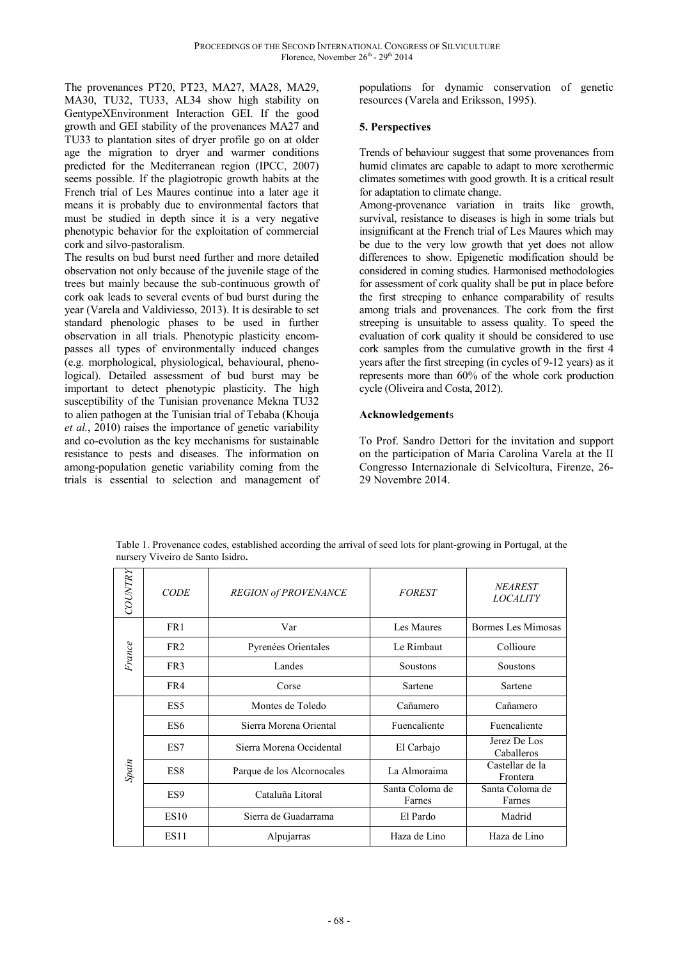The provenances PT20, PT23, MA27, MA28, MA29, MA30, TU32, TU33, AL34 show high stability on GentypeXEnvironment Interaction GEI. If the good growth and GEI stability of the provenances MA27 and TU33 to plantation sites of dryer profile go on at older age the migration to dryer and warmer conditions predicted for the Mediterranean region (IPCC, 2007) seems possible. If the plagiotropic growth habits at the French trial of Les Maures continue into a later age it means it is probably due to environmental factors that must be studied in depth since it is a very negative phenotypic behavior for the exploitation of commercial cork and silvo-pastoralism.

The results on bud burst need further and more detailed observation not only because of the juvenile stage of the trees but mainly because the sub-continuous growth of cork oak leads to several events of bud burst during the year (Varela and Valdiviesso, 2013). It is desirable to set standard phenologic phases to be used in further observation in all trials. Phenotypic plasticity encompasses all types of environmentally induced changes (e.g. morphological, physiological, behavioural, phenological). Detailed assessment of bud burst may be important to detect phenotypic plasticity. The high susceptibility of the Tunisian provenance Mekna TU32 to alien pathogen at the Tunisian trial of Tebaba (Khouja *et al.*, 2010) raises the importance of genetic variability and co-evolution as the key mechanisms for sustainable resistance to pests and diseases. The information on among-population genetic variability coming from the trials is essential to selection and management of

populations for dynamic conservation of genetic resources (Varela and Eriksson, 1995).

### **5. Perspectives**

Trends of behaviour suggest that some provenances from humid climates are capable to adapt to more xerothermic climates sometimes with good growth. It is a critical result for adaptation to climate change.

Among-provenance variation in traits like growth, survival, resistance to diseases is high in some trials but insignificant at the French trial of Les Maures which may be due to the very low growth that yet does not allow differences to show. Epigenetic modification should be considered in coming studies. Harmonised methodologies for assessment of cork quality shall be put in place before the first streeping to enhance comparability of results among trials and provenances. The cork from the first streeping is unsuitable to assess quality. To speed the evaluation of cork quality it should be considered to use cork samples from the cumulative growth in the first 4 years after the first streeping (in cycles of 9-12 years) as it represents more than 60% of the whole cork production cycle (Oliveira and Costa, 2012).

### **Acknowledgement**s

To Prof. Sandro Dettori for the invitation and support on the participation of Maria Carolina Varela at the II Congresso Internazionale di Selvicoltura, Firenze, 26- 29 Novembre 2014.

| COUNTRY | <b>CODE</b>     | <b>REGION of PROVENANCE</b> | <b>FOREST</b>             | <b>NEAREST</b><br><b>LOCALITY</b> |  |
|---------|-----------------|-----------------------------|---------------------------|-----------------------------------|--|
| France  | FR1             | Var                         | Les Maures                | Bormes Les Mimosas                |  |
|         | FR <sub>2</sub> | Pyrenées Orientales         | Le Rimbaut                | Collioure                         |  |
|         | FR <sub>3</sub> | Landes                      | Soustons                  | Soustons                          |  |
|         | FR4             | Corse                       | Sartene                   | Sartene                           |  |
| Spain   | ES <sub>5</sub> | Montes de Toledo            | Cañamero                  | Cañamero                          |  |
|         | ES <sub>6</sub> | Sierra Morena Oriental      | Fuencaliente              | Fuencaliente                      |  |
|         | ES7             | Sierra Morena Occidental    | El Carbajo                | Jerez De Los<br>Caballeros        |  |
|         | ES8             | Parque de los Alcornocales  | La Almoraima              | Castellar de la<br>Frontera       |  |
|         | ES9             | Cataluña Litoral            | Santa Coloma de<br>Farnes | Santa Coloma de<br>Farnes         |  |
|         | ES10            | Sierra de Guadarrama        | El Pardo                  | Madrid                            |  |
|         | <b>ES11</b>     | Alpujarras                  | Haza de Lino              | Haza de Lino                      |  |

Table 1. Provenance codes, established according the arrival of seed lots for plant-growing in Portugal, at the nursery Viveiro de Santo Isidro**.**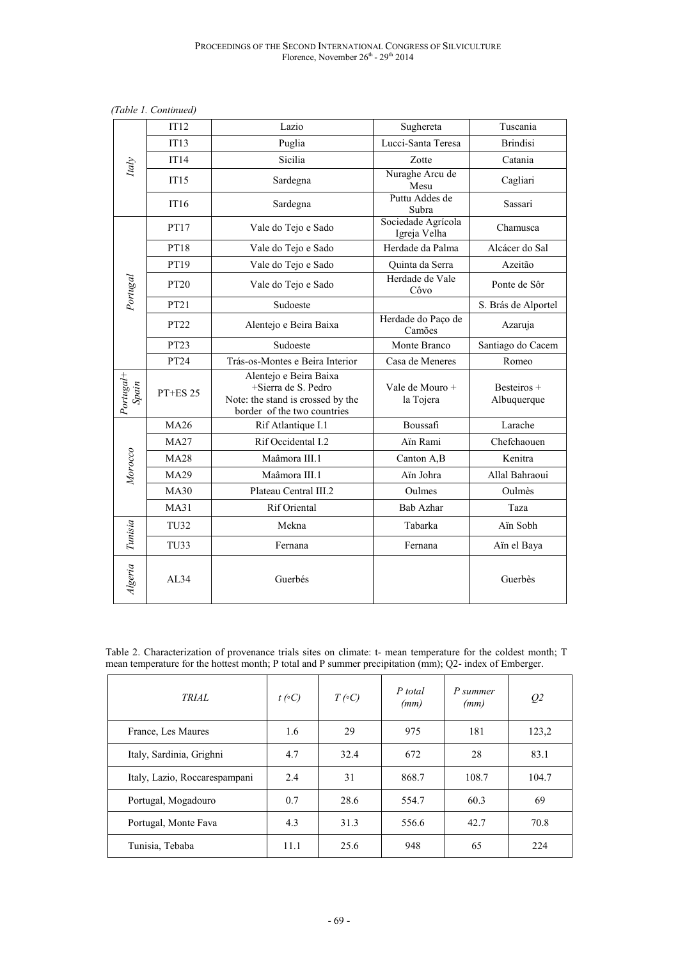|  | (Table 1. Continued) |
|--|----------------------|
|--|----------------------|

|                       | IT12              | Lazio                                                                                                             | Sughereta                          | Tuscania                   |  |
|-----------------------|-------------------|-------------------------------------------------------------------------------------------------------------------|------------------------------------|----------------------------|--|
|                       | IT13              | Puglia                                                                                                            | Lucci-Santa Teresa                 | <b>Brindisi</b>            |  |
| Italy                 | IT14              | Sicilia                                                                                                           | Zotte                              | Catania                    |  |
|                       | IT15              | Sardegna                                                                                                          | Nuraghe Arcu de<br>Mesu            | Cagliari                   |  |
|                       | IT16              | Sardegna                                                                                                          | Puttu Addes de<br>Subra            | Sassari                    |  |
| Portugal              | PT17              | Vale do Tejo e Sado                                                                                               | Sociedade Agrícola<br>Igreja Velha | Chamusca                   |  |
|                       | <b>PT18</b>       | Vale do Tejo e Sado                                                                                               | Herdade da Palma                   |                            |  |
|                       | PT19              | Vale do Tejo e Sado                                                                                               | Quinta da Serra                    | Azeitão                    |  |
|                       | PT20              | Vale do Tejo e Sado                                                                                               | Herdade de Vale<br>Côvo            | Ponte de Sôr               |  |
|                       | PT21              | Sudoeste                                                                                                          |                                    | S. Brás de Alportel        |  |
|                       | PT22              | Alentejo e Beira Baixa                                                                                            | Herdade do Paço de<br>Camões       | Azaruja                    |  |
|                       | PT23              | Sudoeste                                                                                                          | Monte Branco                       | Santiago do Cacem          |  |
|                       | <b>PT24</b>       | Trás-os-Montes e Beira Interior                                                                                   | Casa de Meneres                    | Romeo                      |  |
| $Portugal +$<br>Spain | <b>PT+ES 25</b>   | Alentejo e Beira Baixa<br>+Sierra de S. Pedro<br>Note: the stand is crossed by the<br>border of the two countries | Vale de Mouro +<br>la Tojera       | Besteiros +<br>Albuquerque |  |
|                       | <b>MA26</b>       | Rif Atlantique I.1                                                                                                | Boussafi                           | Larache                    |  |
| Morocco               | <b>MA27</b>       | Rif Occidental I.2                                                                                                | Aïn Rami                           |                            |  |
|                       | <b>MA28</b>       | Maâmora III.1                                                                                                     | Canton A,B                         | Kenitra                    |  |
|                       | <b>MA29</b>       | Maâmora III.1                                                                                                     | Aïn Johra                          | Allal Bahraoui             |  |
|                       | <b>MA30</b>       | Plateau Central III.2                                                                                             | Oulmes                             | Oulmès                     |  |
|                       | <b>MA31</b>       | Rif Oriental                                                                                                      | <b>Bab Azhar</b>                   | Taza                       |  |
| Tunisia               | TU32              | Mekna                                                                                                             | Tabarka                            | Aïn Sobh                   |  |
|                       | TU <sub>3</sub> 3 | Fernana                                                                                                           | Fernana                            | Aïn el Baya                |  |
| Algeria               | AL34              | Guerbés                                                                                                           |                                    | Guerbès                    |  |

Table 2. Characterization of provenance trials sites on climate: t- mean temperature for the coldest month; T mean temperature for the hottest month; P total and P summer precipitation (mm); Q2- index of Emberger.

| TRIAL                         | $t$ ( $\circ$ C) | $T( \circ C)$ | P total<br>(mm) | P summer<br>(mm) | Q2    |
|-------------------------------|------------------|---------------|-----------------|------------------|-------|
| France, Les Maures            | 1.6              | 29            | 975             | 181              | 123,2 |
| Italy, Sardinia, Grighni      | 4.7              | 32.4          | 672             | 28               | 83.1  |
| Italy, Lazio, Roccarespampani | 2.4              | 31            | 868.7           | 108.7            | 104.7 |
| Portugal, Mogadouro           | 0.7              | 28.6          | 554.7           | 60.3             | 69    |
| Portugal, Monte Fava          | 4.3              | 31.3          | 556.6           | 42.7             | 70.8  |
| Tunisia, Tebaba               | 11.1             | 25.6          | 948             | 65               | 224   |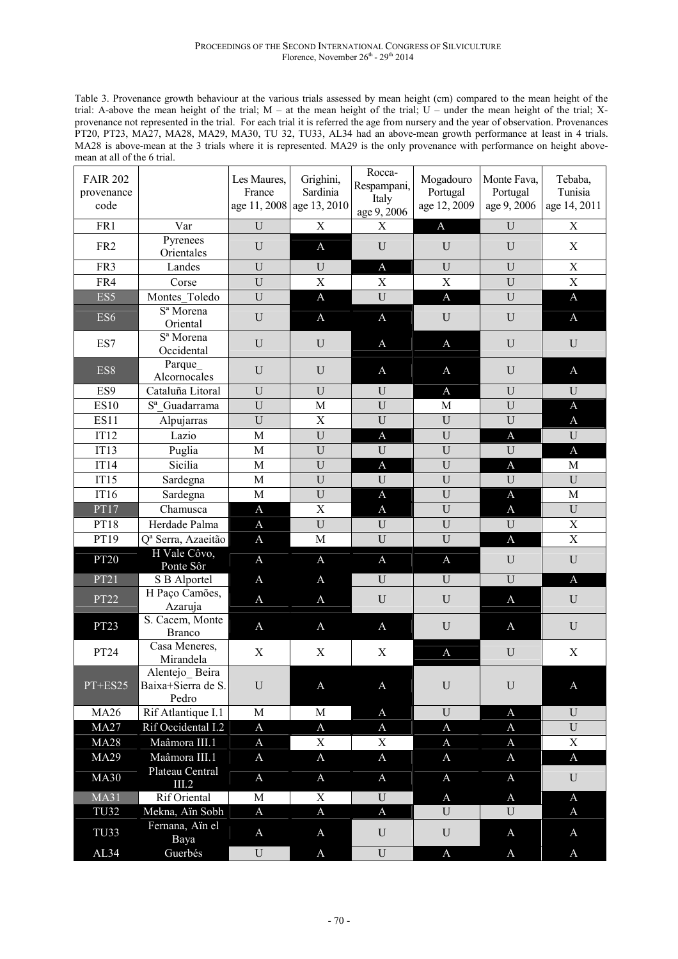Table 3. Provenance growth behaviour at the various trials assessed by mean height (cm) compared to the mean height of the trial: A-above the mean height of the trial; M – at the mean height of the trial; U – under the mean height of the trial; Xprovenance not represented in the trial. For each trial it is referred the age from nursery and the year of observation. Provenances PT20, PT23, MA27, MA28, MA29, MA30, TU 32, TU33, AL34 had an above-mean growth performance at least in 4 trials. MA28 is above-mean at the 3 trials where it is represented. MA29 is the only provenance with performance on height abovemean at all of the 6 trial.

| <b>FAIR 202</b><br>provenance<br>code |                                               | Les Maures,<br>France     | Grighini,<br>Sardinia<br>age 11, 2008 age 13, 2010 | Rocca-<br>Respampani,<br>Italy<br>age 9, 2006 | Mogadouro<br>Portugal<br>age 12, 2009 | Monte Fava,<br>Portugal<br>age 9, 2006 | Tebaba,<br>Tunisia<br>age 14, 2011 |
|---------------------------------------|-----------------------------------------------|---------------------------|----------------------------------------------------|-----------------------------------------------|---------------------------------------|----------------------------------------|------------------------------------|
| FR1                                   | Var                                           | U                         | $\mathbf X$                                        | $\boldsymbol{\mathrm{X}}$                     | $\mathbf{A}$                          | U                                      | $\mathbf X$                        |
| FR <sub>2</sub>                       | Pyrenees<br>Orientales                        | U                         | $\mathbf{A}$                                       | U                                             | U                                     | U                                      | $\boldsymbol{\mathrm{X}}$          |
| FR3                                   | Landes                                        | U                         | U                                                  | $\mathbf{A}$                                  | $\mathbf U$                           | $\mathbf U$                            | $\mathbf X$                        |
| FR4                                   | Corse                                         | U                         | X                                                  | $\mathbf X$                                   | $\boldsymbol{\mathrm{X}}$             | U                                      | X                                  |
| ES5                                   | Montes Toledo                                 | U                         | $\overline{A}$                                     | U                                             | $\overline{A}$                        | U                                      | $\overline{A}$                     |
| ES <sub>6</sub>                       | S <sup>a</sup> Morena<br>Oriental             | $\mathbf U$               | $\mathbf{A}$                                       | $\mathbf{A}$                                  | $\mathbf U$                           | U                                      | $\mathbf{A}$                       |
| ES7                                   | S <sup>a</sup> Morena<br>Occidental           | $\mathbf U$               | U                                                  | $\mathbf{A}$                                  | $\mathbf{A}$                          | U                                      | $\mathbf U$                        |
| ES8                                   | Parque<br>Alcornocales                        | U                         | U                                                  | $\mathbf{A}$                                  | A                                     | U                                      | $\mathbf{A}$                       |
| ES9                                   | Cataluña Litoral                              | $\overline{U}$            | U                                                  | U                                             | $\mathbf{A}$                          | U                                      | U                                  |
| <b>ES10</b>                           | S <sup>a</sup> Guadarrama                     | U                         | M                                                  | U                                             | M                                     | U                                      | $\mathbf{A}$                       |
| <b>ES11</b>                           | Alpujarras                                    | U                         | $\mathbf X$                                        | U                                             | U                                     | U                                      | $\mathbf{A}$                       |
| IT12                                  | Lazio                                         | M                         | $\mathbf U$                                        | A                                             | $\mathbf U$                           | A                                      | $\mathbf U$                        |
| IT13                                  | Puglia                                        | M                         | U                                                  | U                                             | U                                     | U                                      | $\mathbf{A}$                       |
| IT14                                  | Sicilia                                       | M                         | U                                                  | $\overline{A}$                                | $\mathbf U$                           | $\overline{A}$                         | M                                  |
| IT15                                  | Sardegna                                      | M                         | $\mathbf U$                                        | $\mathbf U$                                   | U                                     | U                                      | $\mathbf U$                        |
| IT16                                  | Sardegna                                      | $\mathbf M$               | $\mathbf U$                                        | $\overline{A}$                                | U                                     | $\overline{A}$                         | M                                  |
| PT17                                  | Chamusca                                      | A                         | X                                                  | $\mathbf{A}$                                  | U                                     | $\mathbf{A}$                           | $\mathbf U$                        |
| PT18                                  | Herdade Palma                                 | A                         | $\overline{U}$                                     | U                                             | U                                     | U                                      | X                                  |
| PT19                                  | Q <sup>a</sup> Serra, Azaeitão                | $\mathbf{A}$              | M                                                  | U                                             | U                                     | $\overline{A}$                         | X                                  |
| <b>PT20</b>                           | H Vale Côvo,<br>Ponte Sôr                     | $\mathbf{A}$              | $\mathbf{A}$                                       | $\mathbf{A}$                                  | $\mathbf{A}$                          | U                                      | U                                  |
| PT21                                  | S B Alportel                                  | A                         | $\mathbf{A}$                                       | U                                             | U                                     | $\overline{U}$                         | A                                  |
| <b>PT22</b>                           | H Paço Camões,<br>Azaruja                     | $\mathbf{A}$              | A                                                  | U                                             | $\mathbf U$                           | $\mathbf{A}$                           | $\mathbf U$                        |
| <b>PT23</b>                           | S. Cacem, Monte<br><b>Branco</b>              | $\mathbf{A}$              | $\mathbf{A}$                                       | $\mathbf{A}$                                  | U                                     | $\mathbf{A}$                           | $\mathbf U$                        |
| PT24                                  | Casa Meneres,<br>Mirandela                    | $\boldsymbol{\mathrm{X}}$ | X                                                  | X                                             | $\mathbf{A}$                          | ${\bf U}$                              | X                                  |
| $PT + ES25$                           | Alentejo_Beira<br>Baixa+Sierra de S.<br>Pedro | $\mathbf U$               | $\mathbf{A}$                                       | $\mathbf{A}$                                  | U                                     | U                                      | $\mathbf{A}$                       |
| <b>MA26</b>                           | Rif Atlantique I.1                            | $\mathbf M$               | $\mathbf M$                                        | $\mathbf{A}$                                  | $\mathbf U$                           | A                                      | $\mathbf U$                        |
| <b>MA27</b>                           | Rif Occidental I.2                            | $\mathbf{A}$              | $\mathbf A$                                        | $\mathbf{A}$                                  | $\mathbf{A}$                          | A                                      | $\mathbf U$                        |
| <b>MA28</b>                           | Maâmora III.1                                 | $\mathbf{A}$              | X                                                  | X                                             | $\mathbf{A}$                          | $\mathbf{A}$                           | X                                  |
| <b>MA29</b>                           | Maâmora III.1                                 | $\mathbf{A}$              | $\mathbf A$                                        | $\mathbf A$                                   | $\mathbf{A}$                          | A                                      | $\boldsymbol{\rm{A}}$              |
| <b>MA30</b>                           | Plateau Central<br>III.2                      | $\mathbf{A}$              | $\mathbf{A}$                                       | $\mathbf{A}$                                  | $\mathbf{A}$                          | $\mathbf{A}$                           | $\mathbf U$                        |
| MA31                                  | Rif Oriental                                  | $\mathbf M$               | $\overline{X}$                                     | U                                             | $\mathbf{A}$                          | $\mathbf{A}$                           | $\mathbf{A}$                       |
| <b>TU32</b>                           | Mekna, Aïn Sobh                               | $\mathbf{A}$              | $\mathbf{A}$                                       | $\mathbf{A}$                                  | $\mathbf U$                           | ${\bf U}$                              | $\mathbf{A}$                       |
| TU <sub>3</sub> 3                     | Fernana, Aïn el<br>Baya                       | $\mathbf{A}$              | $\mathbf{A}$                                       | $\mathbf U$                                   | $\mathbf U$                           | $\mathbf{A}$                           | $\mathbf{A}$                       |
| AL34                                  | Guerbés                                       | $\mathbf U$               | $\mathbf{A}$                                       | $\mathbf U$                                   | $\mathbf{A}$                          | $\mathbf{A}$                           | $\mathbf{A}$                       |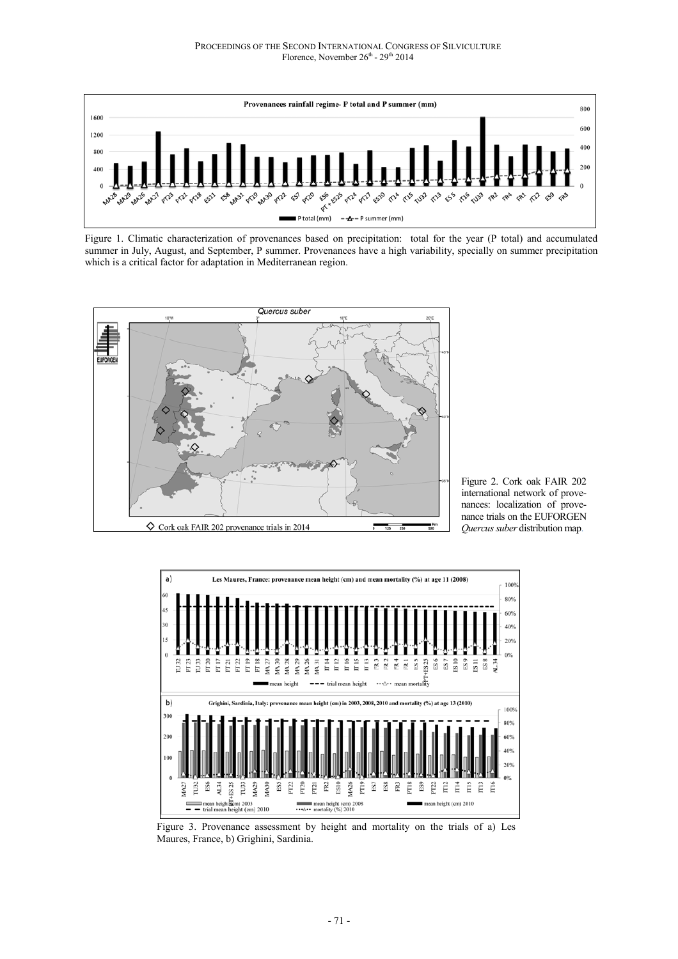

Figure 1. Climatic characterization of provenances based on precipitation: total for the year (P total) and accumulated summer in July, August, and September, P summer. Provenances have a high variability, specially on summer precipitation which is a critical factor for adaptation in Mediterranean region.



Figure 2. Cork oak FAIR 202 international network of provenances: localization of provenance trials on the EUFORGEN *Quercus suber* distribution map.



Figure 3. Provenance assessment by height and mortality on the trials of a) Les Maures, France, b) Grighini, Sardinia.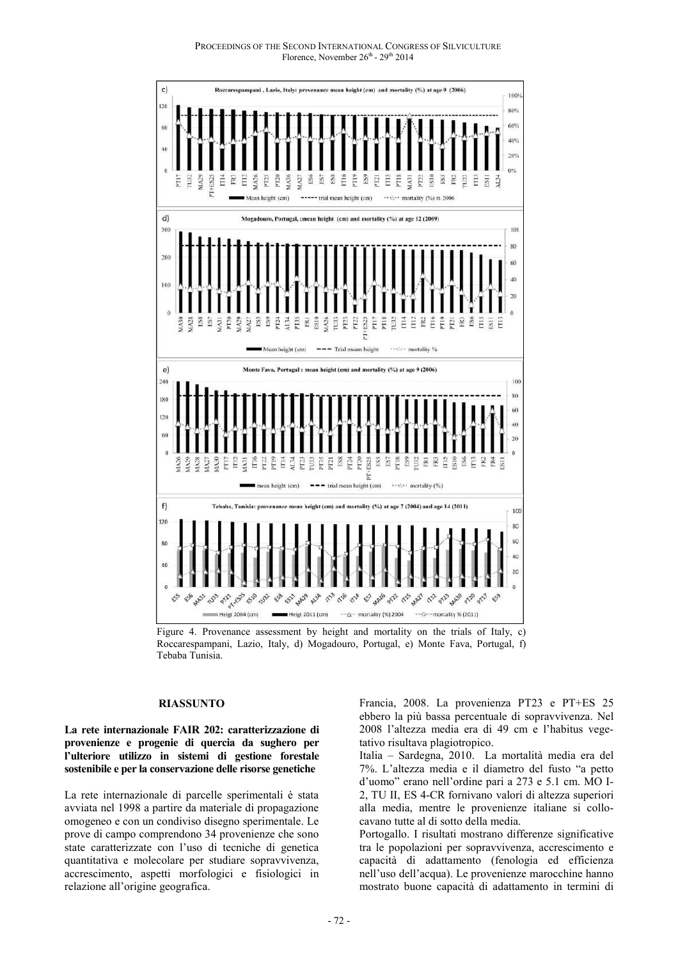PROCEEDINGS OF THE SECOND INTERNATIONAL CONGRESS OF SILVICULTURE Florence, November 26<sup>th</sup> - 29<sup>th</sup> 2014



Figure 4. Provenance assessment by height and mortality on the trials of Italy, c) Roccarespampani, Lazio, Italy, d) Mogadouro, Portugal, e) Monte Fava, Portugal, f) Tebaba Tunisia.

#### **RIASSUNTO**

#### **La rete internazionale FAIR 202: caratterizzazione di provenienze e progenie di quercia da sughero per l'ulteriore utilizzo in sistemi di gestione forestale sostenibile e per la conservazione delle risorse genetiche**

La rete internazionale di parcelle sperimentali è stata avviata nel 1998 a partire da materiale di propagazione omogeneo e con un condiviso disegno sperimentale. Le prove di campo comprendono 34 provenienze che sono state caratterizzate con l'uso di tecniche di genetica quantitativa e molecolare per studiare sopravvivenza, accrescimento, aspetti morfologici e fisiologici in relazione all'origine geografica.

Francia, 2008. La provenienza PT23 e PT+ES 25 ebbero la più bassa percentuale di sopravvivenza. Nel 2008 l'altezza media era di 49 cm e l'habitus vegetativo risultava plagiotropico.

Italia – Sardegna, 2010. La mortalità media era del 7%. L'altezza media e il diametro del fusto "a petto d'uomo" erano nell'ordine pari a 273 e 5.1 cm. MO I-2, TU II, ES 4-CR fornivano valori di altezza superiori alla media, mentre le provenienze italiane si collocavano tutte al di sotto della media.

Portogallo. I risultati mostrano differenze significative tra le popolazioni per sopravvivenza, accrescimento e capacità di adattamento (fenologia ed efficienza nell'uso dell'acqua). Le provenienze marocchine hanno mostrato buone capacità di adattamento in termini di